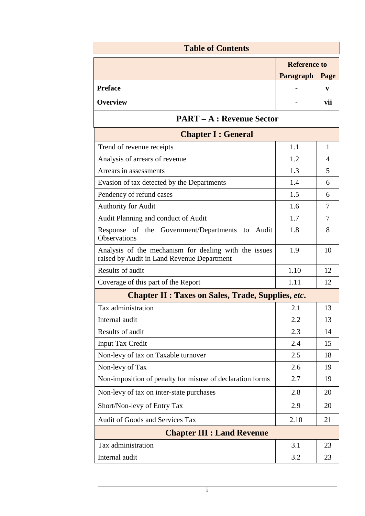| <b>Table of Contents</b>                                                                            |                     |      |  |  |
|-----------------------------------------------------------------------------------------------------|---------------------|------|--|--|
|                                                                                                     | <b>Reference to</b> |      |  |  |
|                                                                                                     | Paragraph           | Page |  |  |
| <b>Preface</b>                                                                                      |                     | V    |  |  |
| <b>Overview</b>                                                                                     |                     | vii  |  |  |
| <b>PART – A : Revenue Sector</b>                                                                    |                     |      |  |  |
| <b>Chapter I : General</b>                                                                          |                     |      |  |  |
| Trend of revenue receipts                                                                           | 1.1                 | 1    |  |  |
| Analysis of arrears of revenue                                                                      | 1.2                 | 4    |  |  |
| Arrears in assessments                                                                              | 1.3                 | 5    |  |  |
| Evasion of tax detected by the Departments                                                          | 1.4                 | 6    |  |  |
| Pendency of refund cases                                                                            | 1.5                 | 6    |  |  |
| <b>Authority for Audit</b>                                                                          | 1.6                 | 7    |  |  |
| Audit Planning and conduct of Audit                                                                 | 1.7                 | 7    |  |  |
| Response of the Government/Departments to Audit<br><b>Observations</b>                              | 1.8                 | 8    |  |  |
| Analysis of the mechanism for dealing with the issues<br>raised by Audit in Land Revenue Department | 1.9                 | 10   |  |  |
| Results of audit                                                                                    | 1.10                | 12   |  |  |
| Coverage of this part of the Report                                                                 | 1.11                | 12   |  |  |
| <b>Chapter II : Taxes on Sales, Trade, Supplies, etc.</b>                                           |                     |      |  |  |
| Tax administration                                                                                  | 2.1                 | 13   |  |  |
| Internal audit                                                                                      | 2.2                 | 13   |  |  |
| Results of audit                                                                                    | 2.3                 | 14   |  |  |
| <b>Input Tax Credit</b>                                                                             | 2.4                 | 15   |  |  |
| Non-levy of tax on Taxable turnover                                                                 | 2.5                 | 18   |  |  |
| Non-levy of Tax                                                                                     | 2.6                 | 19   |  |  |
| Non-imposition of penalty for misuse of declaration forms                                           | 2.7                 | 19   |  |  |
| Non-levy of tax on inter-state purchases                                                            | 2.8                 | 20   |  |  |
| Short/Non-levy of Entry Tax                                                                         | 2.9                 | 20   |  |  |
| Audit of Goods and Services Tax                                                                     | 2.10                | 21   |  |  |
| <b>Chapter III : Land Revenue</b>                                                                   |                     |      |  |  |
| Tax administration                                                                                  | 3.1                 | 23   |  |  |
| Internal audit                                                                                      | 3.2                 | 23   |  |  |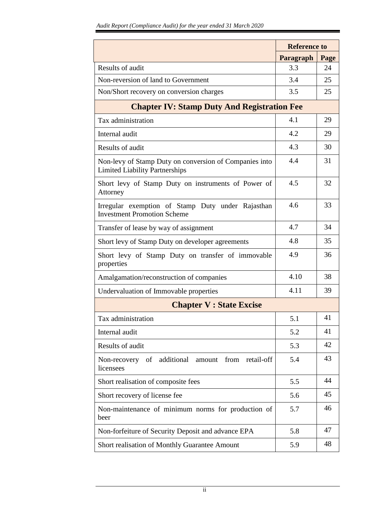|                                                                                                 | <b>Reference to</b> |      |  |
|-------------------------------------------------------------------------------------------------|---------------------|------|--|
|                                                                                                 | Paragraph           | Page |  |
| Results of audit                                                                                | 3.3                 | 24   |  |
| Non-reversion of land to Government                                                             | 3.4                 | 25   |  |
| Non/Short recovery on conversion charges                                                        | 3.5                 | 25   |  |
| <b>Chapter IV: Stamp Duty And Registration Fee</b>                                              |                     |      |  |
| Tax administration                                                                              | 4.1                 | 29   |  |
| Internal audit                                                                                  | 4.2                 | 29   |  |
| Results of audit                                                                                | 4.3                 | 30   |  |
| Non-levy of Stamp Duty on conversion of Companies into<br><b>Limited Liability Partnerships</b> | 4.4                 | 31   |  |
| Short levy of Stamp Duty on instruments of Power of<br>Attorney                                 | 4.5                 | 32   |  |
| Irregular exemption of Stamp Duty under Rajasthan<br><b>Investment Promotion Scheme</b>         | 4.6                 | 33   |  |
| Transfer of lease by way of assignment                                                          | 4.7                 | 34   |  |
| Short levy of Stamp Duty on developer agreements                                                | 4.8                 | 35   |  |
| Short levy of Stamp Duty on transfer of immovable<br>properties                                 | 4.9                 | 36   |  |
| Amalgamation/reconstruction of companies                                                        | 4.10                | 38   |  |
| Undervaluation of Immovable properties                                                          | 4.11                | 39   |  |
| <b>Chapter V : State Excise</b>                                                                 |                     |      |  |
| Tax administration                                                                              | 5.1                 | 41   |  |
| Internal audit                                                                                  | 5.2                 | 41   |  |
| Results of audit                                                                                | 5.3                 | 42   |  |
| additional<br>from<br>Non-recovery of<br>retail-off<br>amount<br>licensees                      | 5.4                 | 43   |  |
| Short realisation of composite fees                                                             | 5.5                 | 44   |  |
| Short recovery of license fee                                                                   | 5.6                 | 45   |  |
| Non-maintenance of minimum norms for production of<br>beer                                      | 5.7                 | 46   |  |
| Non-forfeiture of Security Deposit and advance EPA                                              | 5.8                 | 47   |  |
| Short realisation of Monthly Guarantee Amount                                                   | 5.9                 | 48   |  |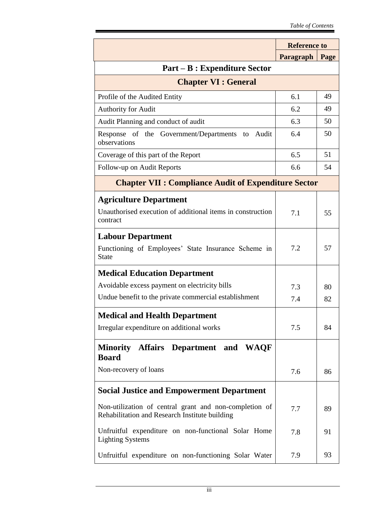|                                                                                                          | <b>Reference to</b> |      |  |
|----------------------------------------------------------------------------------------------------------|---------------------|------|--|
|                                                                                                          | Paragraph           | Page |  |
| <b>Part – B : Expenditure Sector</b>                                                                     |                     |      |  |
| <b>Chapter VI : General</b>                                                                              |                     |      |  |
| Profile of the Audited Entity                                                                            | 6.1                 | 49   |  |
| <b>Authority for Audit</b>                                                                               | 6.2                 | 49   |  |
| Audit Planning and conduct of audit                                                                      | 6.3                 | 50   |  |
| Response of the Government/Departments<br>Audit<br>to<br>observations                                    | 6.4                 | 50   |  |
| Coverage of this part of the Report                                                                      | 6.5                 | 51   |  |
| Follow-up on Audit Reports                                                                               | 6.6                 | 54   |  |
| <b>Chapter VII : Compliance Audit of Expenditure Sector</b>                                              |                     |      |  |
| <b>Agriculture Department</b>                                                                            |                     |      |  |
| Unauthorised execution of additional items in construction<br>contract                                   | 7.1                 | 55   |  |
| <b>Labour Department</b>                                                                                 |                     |      |  |
| Functioning of Employees' State Insurance Scheme in<br><b>State</b>                                      | 7.2                 | 57   |  |
| <b>Medical Education Department</b>                                                                      |                     |      |  |
| Avoidable excess payment on electricity bills                                                            | 7.3                 | 80   |  |
| Undue benefit to the private commercial establishment                                                    | 7.4                 | 82   |  |
| <b>Medical and Health Department</b>                                                                     |                     |      |  |
| Irregular expenditure on additional works                                                                | 7.5                 | 84   |  |
| Minority Affairs Department and WAQF<br><b>Board</b>                                                     |                     |      |  |
| Non-recovery of loans                                                                                    | 7.6                 | 86   |  |
| <b>Social Justice and Empowerment Department</b>                                                         |                     |      |  |
| Non-utilization of central grant and non-completion of<br>Rehabilitation and Research Institute building | 7.7                 | 89   |  |
| Unfruitful expenditure on non-functional Solar Home<br><b>Lighting Systems</b>                           | 7.8                 | 91   |  |
| Unfruitful expenditure on non-functioning Solar Water                                                    | 7.9                 | 93   |  |